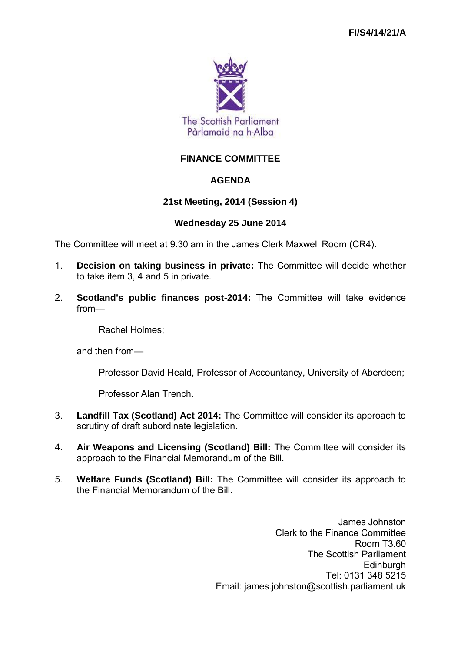

# **FINANCE COMMITTEE**

# **AGENDA**

## **21st Meeting, 2014 (Session 4)**

## **Wednesday 25 June 2014**

The Committee will meet at 9.30 am in the James Clerk Maxwell Room (CR4).

- 1. **Decision on taking business in private:** The Committee will decide whether to take item 3, 4 and 5 in private.
- 2. **Scotland's public finances post-2014:** The Committee will take evidence from—

Rachel Holmes;

and then from—

Professor David Heald, Professor of Accountancy, University of Aberdeen;

Professor Alan Trench.

- 3. **Landfill Tax (Scotland) Act 2014:** The Committee will consider its approach to scrutiny of draft subordinate legislation.
- 4. **Air Weapons and Licensing (Scotland) Bill:** The Committee will consider its approach to the Financial Memorandum of the Bill.
- 5. **Welfare Funds (Scotland) Bill:** The Committee will consider its approach to the Financial Memorandum of the Bill.

James Johnston Clerk to the Finance Committee Room T3.60 The Scottish Parliament **Edinburgh** Tel: 0131 348 5215 Email: james.johnston@scottish.parliament.uk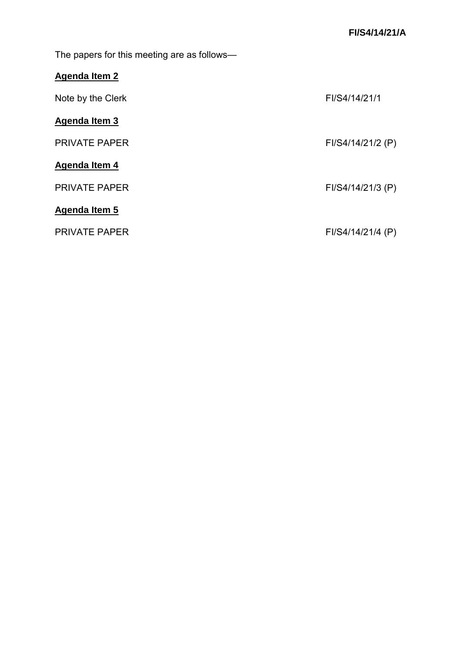The papers for this meeting are as follows—

| <b>Agenda Item 2</b> |
|----------------------|
|----------------------|

| Note by the Clerk    | FI/S4/14/21/1     |
|----------------------|-------------------|
| Agenda Item 3        |                   |
| <b>PRIVATE PAPER</b> | FI/S4/14/21/2 (P) |
| Agenda Item 4        |                   |
| <b>PRIVATE PAPER</b> | FI/S4/14/21/3 (P) |
| Agenda Item 5        |                   |
| <b>PRIVATE PAPER</b> | FI/S4/14/21/4 (P) |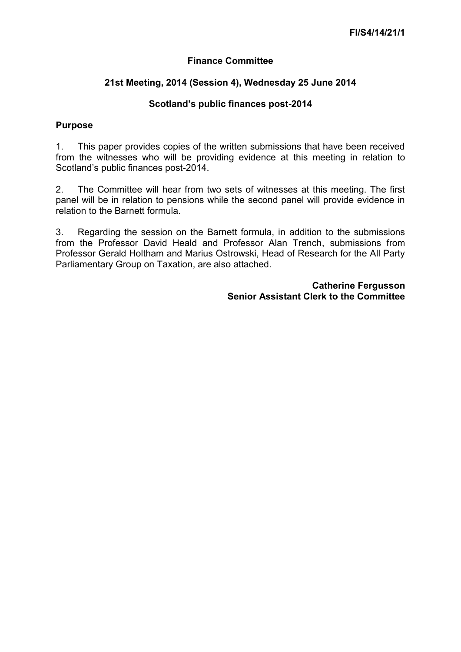## **Finance Committee**

## **21st Meeting, 2014 (Session 4), Wednesday 25 June 2014**

## **Scotland's public finances post-2014**

## **Purpose**

1. This paper provides copies of the written submissions that have been received from the witnesses who will be providing evidence at this meeting in relation to Scotland's public finances post-2014.

2. The Committee will hear from two sets of witnesses at this meeting. The first panel will be in relation to pensions while the second panel will provide evidence in relation to the Barnett formula.

3. Regarding the session on the Barnett formula, in addition to the submissions from the Professor David Heald and Professor Alan Trench, submissions from Professor Gerald Holtham and Marius Ostrowski, Head of Research for the All Party Parliamentary Group on Taxation, are also attached.

> **Catherine Fergusson Senior Assistant Clerk to the Committee**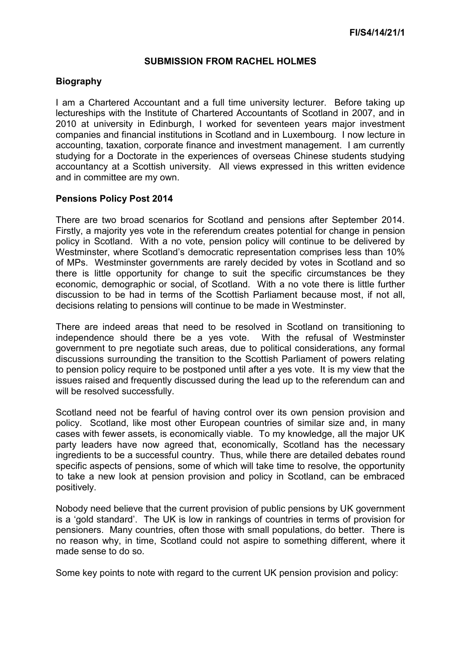#### **SUBMISSION FROM RACHEL HOLMES**

## **Biography**

I am a Chartered Accountant and a full time university lecturer. Before taking up lectureships with the Institute of Chartered Accountants of Scotland in 2007, and in 2010 at university in Edinburgh, I worked for seventeen years major investment companies and financial institutions in Scotland and in Luxembourg. I now lecture in accounting, taxation, corporate finance and investment management. I am currently studying for a Doctorate in the experiences of overseas Chinese students studying accountancy at a Scottish university. All views expressed in this written evidence and in committee are my own.

## **Pensions Policy Post 2014**

There are two broad scenarios for Scotland and pensions after September 2014. Firstly, a majority yes vote in the referendum creates potential for change in pension policy in Scotland. With a no vote, pension policy will continue to be delivered by Westminster, where Scotland's democratic representation comprises less than 10% of MPs. Westminster governments are rarely decided by votes in Scotland and so there is little opportunity for change to suit the specific circumstances be they economic, demographic or social, of Scotland. With a no vote there is little further discussion to be had in terms of the Scottish Parliament because most, if not all, decisions relating to pensions will continue to be made in Westminster.

There are indeed areas that need to be resolved in Scotland on transitioning to independence should there be a yes vote. With the refusal of Westminster government to pre negotiate such areas, due to political considerations, any formal discussions surrounding the transition to the Scottish Parliament of powers relating to pension policy require to be postponed until after a yes vote. It is my view that the issues raised and frequently discussed during the lead up to the referendum can and will be resolved successfully.

Scotland need not be fearful of having control over its own pension provision and policy. Scotland, like most other European countries of similar size and, in many cases with fewer assets, is economically viable. To my knowledge, all the major UK party leaders have now agreed that, economically, Scotland has the necessary ingredients to be a successful country. Thus, while there are detailed debates round specific aspects of pensions, some of which will take time to resolve, the opportunity to take a new look at pension provision and policy in Scotland, can be embraced positively.

Nobody need believe that the current provision of public pensions by UK government is a 'gold standard'. The UK is low in rankings of countries in terms of provision for pensioners. Many countries, often those with small populations, do better. There is no reason why, in time, Scotland could not aspire to something different, where it made sense to do so.

Some key points to note with regard to the current UK pension provision and policy: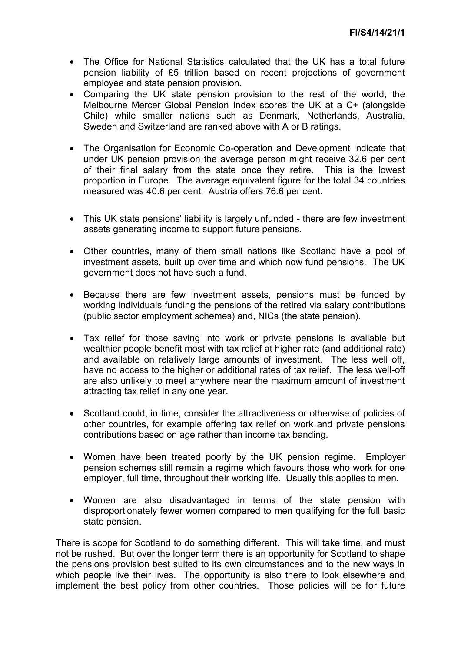- The Office for National Statistics calculated that the UK has a total future pension liability of £5 trillion based on recent projections of government employee and state pension provision.
- Comparing the UK state pension provision to the rest of the world, the Melbourne Mercer Global Pension Index scores the UK at a C+ (alongside Chile) while smaller nations such as Denmark, Netherlands, Australia, Sweden and Switzerland are ranked above with A or B ratings.
- The Organisation for Economic Co-operation and Development indicate that under UK pension provision the average person might receive 32.6 per cent of their final salary from the state once they retire. This is the lowest proportion in Europe. The average equivalent figure for the total 34 countries measured was 40.6 per cent. Austria offers 76.6 per cent.
- This UK state pensions' liability is largely unfunded there are few investment assets generating income to support future pensions.
- Other countries, many of them small nations like Scotland have a pool of investment assets, built up over time and which now fund pensions. The UK government does not have such a fund.
- Because there are few investment assets, pensions must be funded by working individuals funding the pensions of the retired via salary contributions (public sector employment schemes) and, NICs (the state pension).
- Tax relief for those saving into work or private pensions is available but wealthier people benefit most with tax relief at higher rate (and additional rate) and available on relatively large amounts of investment. The less well off, have no access to the higher or additional rates of tax relief. The less well-off are also unlikely to meet anywhere near the maximum amount of investment attracting tax relief in any one year.
- Scotland could, in time, consider the attractiveness or otherwise of policies of other countries, for example offering tax relief on work and private pensions contributions based on age rather than income tax banding.
- Women have been treated poorly by the UK pension regime. Employer pension schemes still remain a regime which favours those who work for one employer, full time, throughout their working life. Usually this applies to men.
- Women are also disadvantaged in terms of the state pension with disproportionately fewer women compared to men qualifying for the full basic state pension.

There is scope for Scotland to do something different. This will take time, and must not be rushed. But over the longer term there is an opportunity for Scotland to shape the pensions provision best suited to its own circumstances and to the new ways in which people live their lives. The opportunity is also there to look elsewhere and implement the best policy from other countries. Those policies will be for future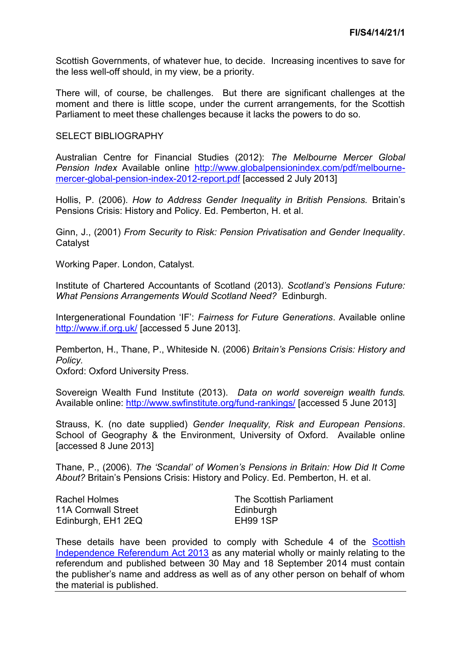Scottish Governments, of whatever hue, to decide. Increasing incentives to save for the less well-off should, in my view, be a priority.

There will, of course, be challenges. But there are significant challenges at the moment and there is little scope, under the current arrangements, for the Scottish Parliament to meet these challenges because it lacks the powers to do so.

#### SELECT BIBLIOGRAPHY

Australian Centre for Financial Studies (2012): *The Melbourne Mercer Global Pension Index* Available online [http://www.globalpensionindex.com/pdf/melbourne](http://www.globalpensionindex.com/pdf/melbourne-mercer-global-pension-index-2012-report.pdf)[mercer-global-pension-index-2012-report.pdf](http://www.globalpensionindex.com/pdf/melbourne-mercer-global-pension-index-2012-report.pdf) [accessed 2 July 2013]

Hollis, P. (2006). *How to Address Gender Inequality in British Pensions.* Britain's Pensions Crisis: History and Policy. Ed. Pemberton, H. et al.

Ginn, J., (2001) *From Security to Risk: Pension Privatisation and Gender Inequality*. Catalyst

Working Paper. London, Catalyst.

Institute of Chartered Accountants of Scotland (2013). *Scotland's Pensions Future: What Pensions Arrangements Would Scotland Need?* Edinburgh.

Intergenerational Foundation 'IF': *Fairness for Future Generations*. Available online <http://www.if.org.uk/>[accessed 5 June 2013].

Pemberton, H., Thane, P., Whiteside N. (2006) *Britain's Pensions Crisis: History and Policy.*

Oxford: Oxford University Press.

Sovereign Wealth Fund Institute (2013). *Data on world sovereign wealth funds.* Available online:<http://www.swfinstitute.org/fund-rankings/>[accessed 5 June 2013]

Strauss, K. (no date supplied) *Gender Inequality, Risk and European Pensions*. School of Geography & the Environment, University of Oxford. Available online [accessed 8 June 2013]

Thane, P., (2006). *The 'Scandal' of Women's Pensions in Britain: How Did It Come About?* Britain's Pensions Crisis: History and Policy. Ed. Pemberton, H. et al.

Rachel Holmes 11A Cornwall Street Edinburgh, EH1 2EQ The Scottish Parliament **Edinburgh** EH99 1SP

These details have been provided to comply with Schedule 4 of the [Scottish](http://www.legislation.gov.uk/asp/2013/14/enacted)  [Independence Referendum Act 2013](http://www.legislation.gov.uk/asp/2013/14/enacted) as any material wholly or mainly relating to the referendum and published between 30 May and 18 September 2014 must contain the publisher's name and address as well as of any other person on behalf of whom the material is published.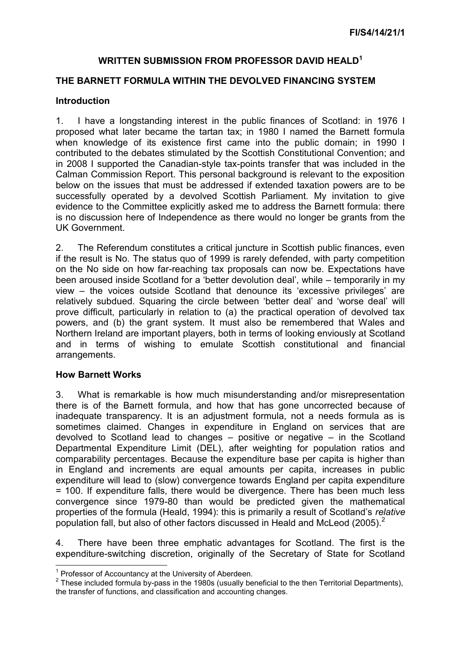## **WRITTEN SUBMISSION FROM PROFESSOR DAVID HEALD<sup>1</sup>**

## **THE BARNETT FORMULA WITHIN THE DEVOLVED FINANCING SYSTEM**

#### **Introduction**

1. I have a longstanding interest in the public finances of Scotland: in 1976 I proposed what later became the tartan tax; in 1980 I named the Barnett formula when knowledge of its existence first came into the public domain; in 1990 I contributed to the debates stimulated by the Scottish Constitutional Convention; and in 2008 I supported the Canadian-style tax-points transfer that was included in the Calman Commission Report. This personal background is relevant to the exposition below on the issues that must be addressed if extended taxation powers are to be successfully operated by a devolved Scottish Parliament. My invitation to give evidence to the Committee explicitly asked me to address the Barnett formula: there is no discussion here of Independence as there would no longer be grants from the UK Government.

2. The Referendum constitutes a critical juncture in Scottish public finances, even if the result is No. The status quo of 1999 is rarely defended, with party competition on the No side on how far-reaching tax proposals can now be. Expectations have been aroused inside Scotland for a 'better devolution deal', while – temporarily in my view – the voices outside Scotland that denounce its 'excessive privileges' are relatively subdued. Squaring the circle between 'better deal' and 'worse deal' will prove difficult, particularly in relation to (a) the practical operation of devolved tax powers, and (b) the grant system. It must also be remembered that Wales and Northern Ireland are important players, both in terms of looking enviously at Scotland and in terms of wishing to emulate Scottish constitutional and financial arrangements.

## **How Barnett Works**

 $\overline{a}$ 

3. What is remarkable is how much misunderstanding and/or misrepresentation there is of the Barnett formula, and how that has gone uncorrected because of inadequate transparency. It is an adjustment formula, not a needs formula as is sometimes claimed. Changes in expenditure in England on services that are devolved to Scotland lead to changes – positive or negative – in the Scotland Departmental Expenditure Limit (DEL), after weighting for population ratios and comparability percentages. Because the expenditure base per capita is higher than in England and increments are equal amounts per capita, increases in public expenditure will lead to (slow) convergence towards England per capita expenditure = 100. If expenditure falls, there would be divergence. There has been much less convergence since 1979-80 than would be predicted given the mathematical properties of the formula (Heald, 1994): this is primarily a result of Scotland's *relative*  population fall, but also of other factors discussed in Heald and McLeod (2005).<sup>2</sup>

4. There have been three emphatic advantages for Scotland. The first is the expenditure-switching discretion, originally of the Secretary of State for Scotland

 $\frac{1}{2}$  Professor of Accountancy at the University of Aberdeen.

 $2$  These included formula by-pass in the 1980s (usually beneficial to the then Territorial Departments), the transfer of functions, and classification and accounting changes.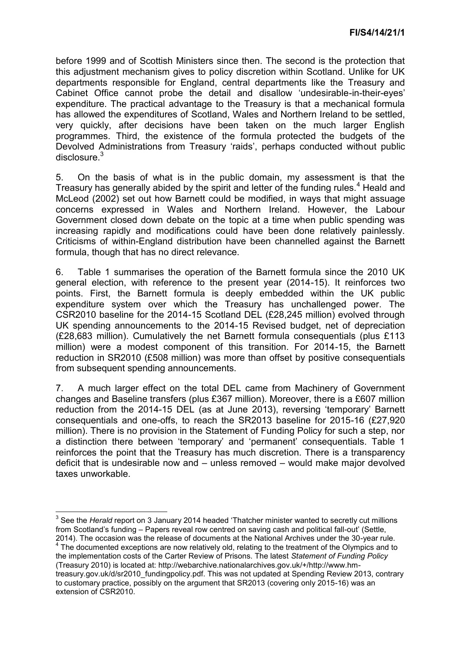before 1999 and of Scottish Ministers since then. The second is the protection that this adjustment mechanism gives to policy discretion within Scotland. Unlike for UK departments responsible for England, central departments like the Treasury and Cabinet Office cannot probe the detail and disallow 'undesirable-in-their-eyes' expenditure. The practical advantage to the Treasury is that a mechanical formula has allowed the expenditures of Scotland, Wales and Northern Ireland to be settled, very quickly, after decisions have been taken on the much larger English programmes. Third, the existence of the formula protected the budgets of the Devolved Administrations from Treasury 'raids', perhaps conducted without public disclosure.<sup>3</sup>

5. On the basis of what is in the public domain, my assessment is that the Treasury has generally abided by the spirit and letter of the funding rules.<sup>4</sup> Heald and McLeod (2002) set out how Barnett could be modified, in ways that might assuage concerns expressed in Wales and Northern Ireland. However, the Labour Government closed down debate on the topic at a time when public spending was increasing rapidly and modifications could have been done relatively painlessly. Criticisms of within-England distribution have been channelled against the Barnett formula, though that has no direct relevance.

6. Table 1 summarises the operation of the Barnett formula since the 2010 UK general election, with reference to the present year (2014-15). It reinforces two points. First, the Barnett formula is deeply embedded within the UK public expenditure system over which the Treasury has unchallenged power. The CSR2010 baseline for the 2014-15 Scotland DEL (£28,245 million) evolved through UK spending announcements to the 2014-15 Revised budget, net of depreciation (£28,683 million). Cumulatively the net Barnett formula consequentials (plus £113 million) were a modest component of this transition. For 2014-15, the Barnett reduction in SR2010 (£508 million) was more than offset by positive consequentials from subsequent spending announcements.

7. A much larger effect on the total DEL came from Machinery of Government changes and Baseline transfers (plus £367 million). Moreover, there is a £607 million reduction from the 2014-15 DEL (as at June 2013), reversing 'temporary' Barnett consequentials and one-offs, to reach the SR2013 baseline for 2015-16 (£27,920 million). There is no provision in the Statement of Funding Policy for such a step, nor a distinction there between 'temporary' and 'permanent' consequentials. Table 1 reinforces the point that the Treasury has much discretion. There is a transparency deficit that is undesirable now and – unless removed – would make major devolved taxes unworkable.

 3 See the *Herald* report on 3 January 2014 headed 'Thatcher minister wanted to secretly cut millions from Scotland's funding – Papers reveal row centred on saving cash and political fall-out' (Settle, 2014). The occasion was the release of documents at the National Archives under the 30-year rule.

<sup>&</sup>lt;sup>4</sup> The documented exceptions are now relatively old, relating to the treatment of the Olympics and to the implementation costs of the Carter Review of Prisons. The latest *Statement of Funding Policy*  (Treasury 2010) is located at: http://webarchive.nationalarchives.gov.uk/+/http://www.hm-

treasury.gov.uk/d/sr2010\_fundingpolicy.pdf. This was not updated at Spending Review 2013, contrary to customary practice, possibly on the argument that SR2013 (covering only 2015-16) was an extension of CSR2010.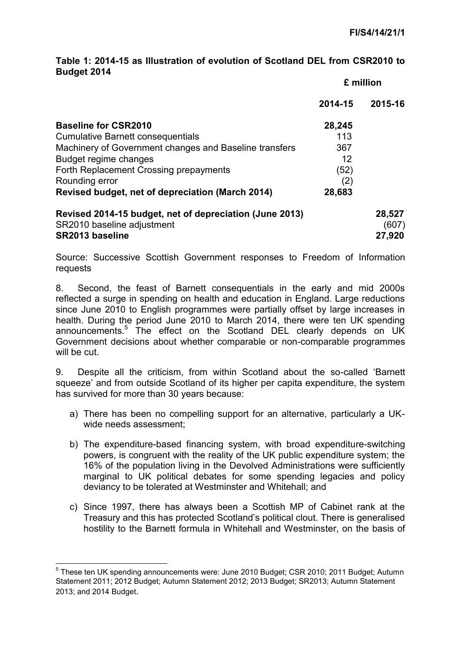## **Table 1: 2014-15 as Illustration of evolution of Scotland DEL from CSR2010 to Budget 2014**

|                                                         | £ million |         |
|---------------------------------------------------------|-----------|---------|
|                                                         | 2014-15   | 2015-16 |
| <b>Baseline for CSR2010</b>                             | 28,245    |         |
| <b>Cumulative Barnett consequentials</b>                | 113       |         |
| Machinery of Government changes and Baseline transfers  | 367       |         |
| Budget regime changes                                   | 12        |         |
| Forth Replacement Crossing prepayments                  | (52)      |         |
| Rounding error                                          | (2)       |         |
| Revised budget, net of depreciation (March 2014)        | 28,683    |         |
| Revised 2014-15 budget, net of depreciation (June 2013) |           | 28,527  |
| SR2010 baseline adjustment                              |           | (607)   |
| <b>SR2013 baseline</b>                                  |           | 27,920  |

Source: Successive Scottish Government responses to Freedom of Information requests

8. Second, the feast of Barnett consequentials in the early and mid 2000s reflected a surge in spending on health and education in England. Large reductions since June 2010 to English programmes were partially offset by large increases in health. During the period June 2010 to March 2014, there were ten UK spending announcements.<sup>5</sup> The effect on the Scotland DEL clearly depends on UK Government decisions about whether comparable or non-comparable programmes will be cut.

9. Despite all the criticism, from within Scotland about the so-called 'Barnett squeeze' and from outside Scotland of its higher per capita expenditure, the system has survived for more than 30 years because:

- a) There has been no compelling support for an alternative, particularly a UKwide needs assessment;
- b) The expenditure-based financing system, with broad expenditure-switching powers, is congruent with the reality of the UK public expenditure system; the 16% of the population living in the Devolved Administrations were sufficiently marginal to UK political debates for some spending legacies and policy deviancy to be tolerated at Westminster and Whitehall; and
- c) Since 1997, there has always been a Scottish MP of Cabinet rank at the Treasury and this has protected Scotland's political clout. There is generalised hostility to the Barnett formula in Whitehall and Westminster, on the basis of

 5 These ten UK spending announcements were: June 2010 Budget; CSR 2010; 2011 Budget; Autumn Statement 2011; 2012 Budget; Autumn Statement 2012; 2013 Budget; SR2013; Autumn Statement 2013; and 2014 Budget.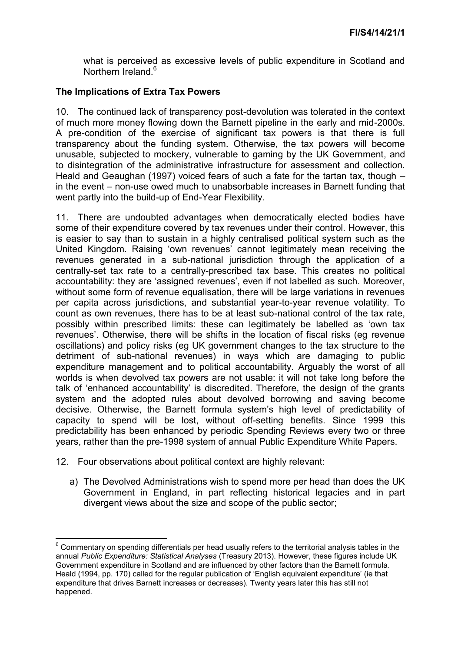what is perceived as excessive levels of public expenditure in Scotland and Northern Ireland.<sup>6</sup>

## **The Implications of Extra Tax Powers**

10. The continued lack of transparency post-devolution was tolerated in the context of much more money flowing down the Barnett pipeline in the early and mid-2000s. A pre-condition of the exercise of significant tax powers is that there is full transparency about the funding system. Otherwise, the tax powers will become unusable, subjected to mockery, vulnerable to gaming by the UK Government, and to disintegration of the administrative infrastructure for assessment and collection. Heald and Geaughan (1997) voiced fears of such a fate for the tartan tax, though – in the event – non-use owed much to unabsorbable increases in Barnett funding that went partly into the build-up of End-Year Flexibility.

11. There are undoubted advantages when democratically elected bodies have some of their expenditure covered by tax revenues under their control. However, this is easier to say than to sustain in a highly centralised political system such as the United Kingdom. Raising 'own revenues' cannot legitimately mean receiving the revenues generated in a sub-national jurisdiction through the application of a centrally-set tax rate to a centrally-prescribed tax base. This creates no political accountability: they are 'assigned revenues', even if not labelled as such. Moreover, without some form of revenue equalisation, there will be large variations in revenues per capita across jurisdictions, and substantial year-to-year revenue volatility. To count as own revenues, there has to be at least sub-national control of the tax rate, possibly within prescribed limits: these can legitimately be labelled as 'own tax revenues'. Otherwise, there will be shifts in the location of fiscal risks (eg revenue oscillations) and policy risks (eg UK government changes to the tax structure to the detriment of sub-national revenues) in ways which are damaging to public expenditure management and to political accountability. Arguably the worst of all worlds is when devolved tax powers are not usable: it will not take long before the talk of 'enhanced accountability' is discredited. Therefore, the design of the grants system and the adopted rules about devolved borrowing and saving become decisive. Otherwise, the Barnett formula system's high level of predictability of capacity to spend will be lost, without off-setting benefits. Since 1999 this predictability has been enhanced by periodic Spending Reviews every two or three years, rather than the pre-1998 system of annual Public Expenditure White Papers.

- 12. Four observations about political context are highly relevant:
	- a) The Devolved Administrations wish to spend more per head than does the UK Government in England, in part reflecting historical legacies and in part divergent views about the size and scope of the public sector;

<sup>————————————————————&</sup>lt;br><sup>6</sup> Commentary on spending differentials per head usually refers to the territorial analysis tables in the annual *Public Expenditure: Statistical Analyses* (Treasury 2013). However, these figures include UK Government expenditure in Scotland and are influenced by other factors than the Barnett formula. Heald (1994, pp. 170) called for the regular publication of 'English equivalent expenditure' (ie that expenditure that drives Barnett increases or decreases). Twenty years later this has still not happened.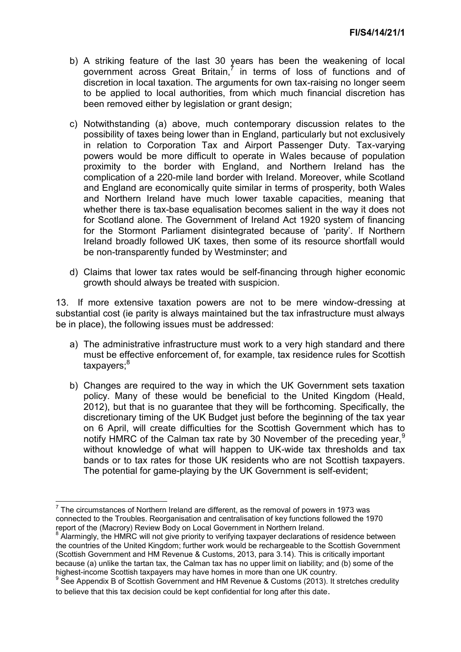- b) A striking feature of the last 30 years has been the weakening of local government across Great Britain, $<sup>7</sup>$  in terms of loss of functions and of</sup> discretion in local taxation. The arguments for own tax-raising no longer seem to be applied to local authorities, from which much financial discretion has been removed either by legislation or grant design;
- c) Notwithstanding (a) above, much contemporary discussion relates to the possibility of taxes being lower than in England, particularly but not exclusively in relation to Corporation Tax and Airport Passenger Duty. Tax-varying powers would be more difficult to operate in Wales because of population proximity to the border with England, and Northern Ireland has the complication of a 220-mile land border with Ireland. Moreover, while Scotland and England are economically quite similar in terms of prosperity, both Wales and Northern Ireland have much lower taxable capacities, meaning that whether there is tax-base equalisation becomes salient in the way it does not for Scotland alone. The Government of Ireland Act 1920 system of financing for the Stormont Parliament disintegrated because of 'parity'. If Northern Ireland broadly followed UK taxes, then some of its resource shortfall would be non-transparently funded by Westminster; and
- d) Claims that lower tax rates would be self-financing through higher economic growth should always be treated with suspicion.

13. If more extensive taxation powers are not to be mere window-dressing at substantial cost (ie parity is always maintained but the tax infrastructure must always be in place), the following issues must be addressed:

- a) The administrative infrastructure must work to a very high standard and there must be effective enforcement of, for example, tax residence rules for Scottish taxpayers;<sup>8</sup>
- b) Changes are required to the way in which the UK Government sets taxation policy. Many of these would be beneficial to the United Kingdom (Heald, 2012), but that is no guarantee that they will be forthcoming. Specifically, the discretionary timing of the UK Budget just before the beginning of the tax year on 6 April, will create difficulties for the Scottish Government which has to notify HMRC of the Calman tax rate by 30 November of the preceding year,  $9$ without knowledge of what will happen to UK-wide tax thresholds and tax bands or to tax rates for those UK residents who are not Scottish taxpayers. The potential for game-playing by the UK Government is self-evident;

<sup>————————————————————&</sup>lt;br><sup>7</sup> The circumstances of Northern Ireland are different, as the removal of powers in 1973 was connected to the Troubles. Reorganisation and centralisation of key functions followed the 1970 report of the (Macrory) Review Body on Local Government in Northern Ireland.<br>8 Alerminaly, the HMBC will not give priority to verifying toyogyer declerations o

Alarmingly, the HMRC will not give priority to verifying taxpayer declarations of residence between the countries of the United Kingdom; further work would be rechargeable to the Scottish Government (Scottish Government and HM Revenue & Customs, 2013, para 3.14). This is critically important because (a) unlike the tartan tax, the Calman tax has no upper limit on liability; and (b) some of the highest-income Scottish taxpayers may have homes in more than one UK country.

<sup>&</sup>lt;sup>9</sup> See Appendix B of Scottish Government and HM Revenue & Customs (2013). It stretches credulity to believe that this tax decision could be kept confidential for long after this date.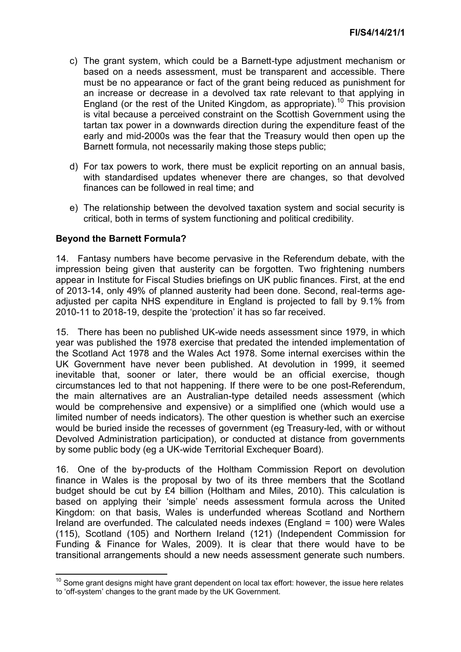- c) The grant system, which could be a Barnett-type adjustment mechanism or based on a needs assessment, must be transparent and accessible. There must be no appearance or fact of the grant being reduced as punishment for an increase or decrease in a devolved tax rate relevant to that applying in England (or the rest of the United Kingdom, as appropriate).<sup>10</sup> This provision is vital because a perceived constraint on the Scottish Government using the tartan tax power in a downwards direction during the expenditure feast of the early and mid-2000s was the fear that the Treasury would then open up the Barnett formula, not necessarily making those steps public;
- d) For tax powers to work, there must be explicit reporting on an annual basis, with standardised updates whenever there are changes, so that devolved finances can be followed in real time; and
- e) The relationship between the devolved taxation system and social security is critical, both in terms of system functioning and political credibility.

## **Beyond the Barnett Formula?**

**.** 

14. Fantasy numbers have become pervasive in the Referendum debate, with the impression being given that austerity can be forgotten. Two frightening numbers appear in Institute for Fiscal Studies briefings on UK public finances. First, at the end of 2013-14, only 49% of planned austerity had been done. Second, real-terms ageadjusted per capita NHS expenditure in England is projected to fall by 9.1% from 2010-11 to 2018-19, despite the 'protection' it has so far received.

15. There has been no published UK-wide needs assessment since 1979, in which year was published the 1978 exercise that predated the intended implementation of the Scotland Act 1978 and the Wales Act 1978. Some internal exercises within the UK Government have never been published. At devolution in 1999, it seemed inevitable that, sooner or later, there would be an official exercise, though circumstances led to that not happening. If there were to be one post-Referendum, the main alternatives are an Australian-type detailed needs assessment (which would be comprehensive and expensive) or a simplified one (which would use a limited number of needs indicators). The other question is whether such an exercise would be buried inside the recesses of government (eg Treasury-led, with or without Devolved Administration participation), or conducted at distance from governments by some public body (eg a UK-wide Territorial Exchequer Board).

16. One of the by-products of the Holtham Commission Report on devolution finance in Wales is the proposal by two of its three members that the Scotland budget should be cut by £4 billion (Holtham and Miles, 2010). This calculation is based on applying their 'simple' needs assessment formula across the United Kingdom: on that basis, Wales is underfunded whereas Scotland and Northern Ireland are overfunded. The calculated needs indexes (England = 100) were Wales (115), Scotland (105) and Northern Ireland (121) (Independent Commission for Funding & Finance for Wales, 2009). It is clear that there would have to be transitional arrangements should a new needs assessment generate such numbers.

 $10$  Some grant designs might have grant dependent on local tax effort: however, the issue here relates to 'off-system' changes to the grant made by the UK Government.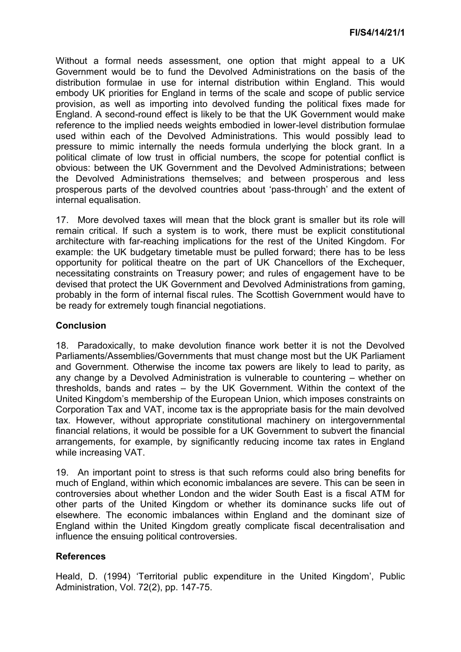Without a formal needs assessment, one option that might appeal to a UK Government would be to fund the Devolved Administrations on the basis of the distribution formulae in use for internal distribution within England. This would embody UK priorities for England in terms of the scale and scope of public service provision, as well as importing into devolved funding the political fixes made for England. A second-round effect is likely to be that the UK Government would make reference to the implied needs weights embodied in lower-level distribution formulae used within each of the Devolved Administrations. This would possibly lead to pressure to mimic internally the needs formula underlying the block grant. In a political climate of low trust in official numbers, the scope for potential conflict is obvious: between the UK Government and the Devolved Administrations; between the Devolved Administrations themselves; and between prosperous and less prosperous parts of the devolved countries about 'pass-through' and the extent of internal equalisation.

17. More devolved taxes will mean that the block grant is smaller but its role will remain critical. If such a system is to work, there must be explicit constitutional architecture with far-reaching implications for the rest of the United Kingdom. For example: the UK budgetary timetable must be pulled forward; there has to be less opportunity for political theatre on the part of UK Chancellors of the Exchequer, necessitating constraints on Treasury power; and rules of engagement have to be devised that protect the UK Government and Devolved Administrations from gaming, probably in the form of internal fiscal rules. The Scottish Government would have to be ready for extremely tough financial negotiations.

## **Conclusion**

18. Paradoxically, to make devolution finance work better it is not the Devolved Parliaments/Assemblies/Governments that must change most but the UK Parliament and Government. Otherwise the income tax powers are likely to lead to parity, as any change by a Devolved Administration is vulnerable to countering – whether on thresholds, bands and rates – by the UK Government. Within the context of the United Kingdom's membership of the European Union, which imposes constraints on Corporation Tax and VAT, income tax is the appropriate basis for the main devolved tax. However, without appropriate constitutional machinery on intergovernmental financial relations, it would be possible for a UK Government to subvert the financial arrangements, for example, by significantly reducing income tax rates in England while increasing VAT.

19. An important point to stress is that such reforms could also bring benefits for much of England, within which economic imbalances are severe. This can be seen in controversies about whether London and the wider South East is a fiscal ATM for other parts of the United Kingdom or whether its dominance sucks life out of elsewhere. The economic imbalances within England and the dominant size of England within the United Kingdom greatly complicate fiscal decentralisation and influence the ensuing political controversies.

## **References**

Heald, D. (1994) 'Territorial public expenditure in the United Kingdom', Public Administration, Vol. 72(2), pp. 147-75.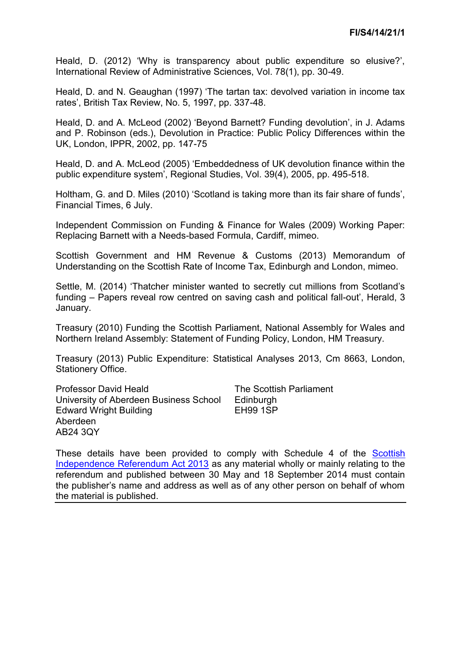Heald, D. (2012) 'Why is transparency about public expenditure so elusive?', International Review of Administrative Sciences, Vol. 78(1), pp. 30-49.

Heald, D. and N. Geaughan (1997) 'The tartan tax: devolved variation in income tax rates', British Tax Review, No. 5, 1997, pp. 337-48.

Heald, D. and A. McLeod (2002) 'Beyond Barnett? Funding devolution', in J. Adams and P. Robinson (eds.), Devolution in Practice: Public Policy Differences within the UK, London, IPPR, 2002, pp. 147-75

Heald, D. and A. McLeod (2005) 'Embeddedness of UK devolution finance within the public expenditure system', Regional Studies, Vol. 39(4), 2005, pp. 495-518.

Holtham, G. and D. Miles (2010) 'Scotland is taking more than its fair share of funds', Financial Times, 6 July.

Independent Commission on Funding & Finance for Wales (2009) Working Paper: Replacing Barnett with a Needs-based Formula, Cardiff, mimeo.

Scottish Government and HM Revenue & Customs (2013) Memorandum of Understanding on the Scottish Rate of Income Tax, Edinburgh and London, mimeo.

Settle, M. (2014) 'Thatcher minister wanted to secretly cut millions from Scotland's funding – Papers reveal row centred on saving cash and political fall-out', Herald, 3 January.

Treasury (2010) Funding the Scottish Parliament, National Assembly for Wales and Northern Ireland Assembly: Statement of Funding Policy, London, HM Treasury.

Treasury (2013) Public Expenditure: Statistical Analyses 2013, Cm 8663, London, Stationery Office.

Professor David Heald University of Aberdeen Business School Edward Wright Building Aberdeen AB24 3QY

The Scottish Parliament **Edinburgh** EH99 1SP

These details have been provided to comply with Schedule 4 of the [Scottish](http://www.legislation.gov.uk/asp/2013/14/enacted)  [Independence Referendum Act 2013](http://www.legislation.gov.uk/asp/2013/14/enacted) as any material wholly or mainly relating to the referendum and published between 30 May and 18 September 2014 must contain the publisher's name and address as well as of any other person on behalf of whom the material is published.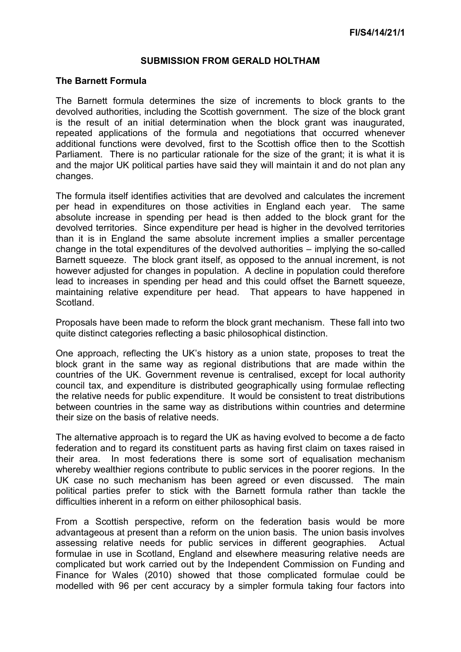#### **SUBMISSION FROM GERALD HOLTHAM**

#### **The Barnett Formula**

The Barnett formula determines the size of increments to block grants to the devolved authorities, including the Scottish government. The size of the block grant is the result of an initial determination when the block grant was inaugurated, repeated applications of the formula and negotiations that occurred whenever additional functions were devolved, first to the Scottish office then to the Scottish Parliament. There is no particular rationale for the size of the grant; it is what it is and the major UK political parties have said they will maintain it and do not plan any changes.

The formula itself identifies activities that are devolved and calculates the increment per head in expenditures on those activities in England each year. The same absolute increase in spending per head is then added to the block grant for the devolved territories. Since expenditure per head is higher in the devolved territories than it is in England the same absolute increment implies a smaller percentage change in the total expenditures of the devolved authorities – implying the so-called Barnett squeeze. The block grant itself, as opposed to the annual increment, is not however adjusted for changes in population. A decline in population could therefore lead to increases in spending per head and this could offset the Barnett squeeze, maintaining relative expenditure per head. That appears to have happened in Scotland.

Proposals have been made to reform the block grant mechanism. These fall into two quite distinct categories reflecting a basic philosophical distinction.

One approach, reflecting the UK's history as a union state, proposes to treat the block grant in the same way as regional distributions that are made within the countries of the UK. Government revenue is centralised, except for local authority council tax, and expenditure is distributed geographically using formulae reflecting the relative needs for public expenditure. It would be consistent to treat distributions between countries in the same way as distributions within countries and determine their size on the basis of relative needs.

The alternative approach is to regard the UK as having evolved to become a de facto federation and to regard its constituent parts as having first claim on taxes raised in their area. In most federations there is some sort of equalisation mechanism whereby wealthier regions contribute to public services in the poorer regions. In the UK case no such mechanism has been agreed or even discussed. The main political parties prefer to stick with the Barnett formula rather than tackle the difficulties inherent in a reform on either philosophical basis.

From a Scottish perspective, reform on the federation basis would be more advantageous at present than a reform on the union basis. The union basis involves assessing relative needs for public services in different geographies. Actual formulae in use in Scotland, England and elsewhere measuring relative needs are complicated but work carried out by the Independent Commission on Funding and Finance for Wales (2010) showed that those complicated formulae could be modelled with 96 per cent accuracy by a simpler formula taking four factors into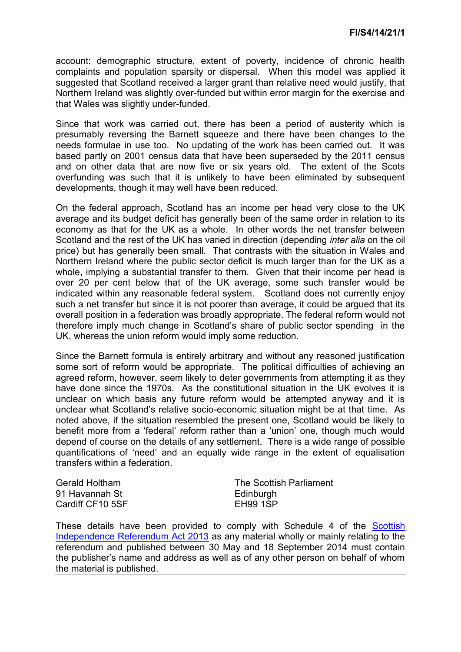account: demographic structure, extent of poverty, incidence of chronic health complaints and population sparsity or dispersal. When this model was applied it suggested that Scotland received a larger grant than relative need would justify, that Northern Ireland was slightly over-funded but within error margin for the exercise and that Wales was slightly under-funded.

Since that work was carried out, there has been a period of austerity which is presumably reversing the Barnett squeeze and there have been changes to the needs formulae in use too. No updating of the work has been carried out. It was based partly on 2001 census data that have been superseded by the 2011 census and on other data that are now five or six years old. The extent of the Scots overfunding was such that it is unlikely to have been eliminated by subsequent developments, though it may well have been reduced.

On the federal approach, Scotland has an income per head very close to the UK average and its budget deficit has generally been of the same order in relation to its economy as that for the UK as a whole. In other words the net transfer between Scotland and the rest of the UK has varied in direction (depending *inter alia* on the oil price) but has generally been small. That contrasts with the situation in Wales and Northern Ireland where the public sector deficit is much larger than for the UK as a whole, implying a substantial transfer to them. Given that their income per head is over 20 per cent below that of the UK average, some such transfer would be indicated within any reasonable federal system. Scotland does not currently enjoy such a net transfer but since it is not poorer than average, it could be argued that its overall position in a federation was broadly appropriate. The federal reform would not therefore imply much change in Scotland's share of public sector spending in the UK, whereas the union reform would imply some reduction.

Since the Barnett formula is entirely arbitrary and without any reasoned justification some sort of reform would be appropriate. The political difficulties of achieving an agreed reform, however, seem likely to deter governments from attempting it as they have done since the 1970s. As the constitutional situation in the UK evolves it is unclear on which basis any future reform would be attempted anyway and it is unclear what Scotland's relative socio-economic situation might be at that time. As noted above, if the situation resembled the present one, Scotland would be likely to benefit more from a 'federal' reform rather than a 'union' one, though much would depend of course on the details of any settlement. There is a wide range of possible quantifications of 'need' and an equally wide range in the extent of equalisation transfers within a federation.

Gerald Holtham 91 Havannah St Cardiff CF10 5SF The Scottish Parliament **Edinburgh** EH99 1SP

These details have been provided to comply with Schedule 4 of the Scottish [Independence Referendum Act 2013](http://www.legislation.gov.uk/asp/2013/14/enacted) as any material wholly or mainly relating to the referendum and published between 30 May and 18 September 2014 must contain the publisher's name and address as well as of any other person on behalf of whom the material is published.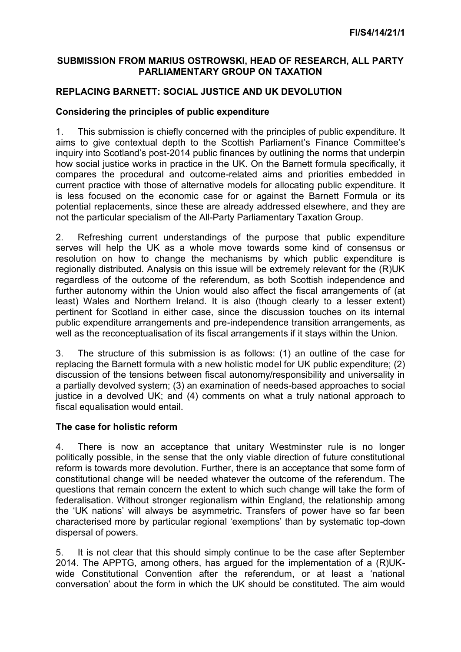## **SUBMISSION FROM MARIUS OSTROWSKI, HEAD OF RESEARCH, ALL PARTY PARLIAMENTARY GROUP ON TAXATION**

# **REPLACING BARNETT: SOCIAL JUSTICE AND UK DEVOLUTION**

## **Considering the principles of public expenditure**

1. This submission is chiefly concerned with the principles of public expenditure. It aims to give contextual depth to the Scottish Parliament's Finance Committee's inquiry into Scotland's post-2014 public finances by outlining the norms that underpin how social justice works in practice in the UK. On the Barnett formula specifically, it compares the procedural and outcome-related aims and priorities embedded in current practice with those of alternative models for allocating public expenditure. It is less focused on the economic case for or against the Barnett Formula or its potential replacements, since these are already addressed elsewhere, and they are not the particular specialism of the All-Party Parliamentary Taxation Group.

2. Refreshing current understandings of the purpose that public expenditure serves will help the UK as a whole move towards some kind of consensus or resolution on how to change the mechanisms by which public expenditure is regionally distributed. Analysis on this issue will be extremely relevant for the (R)UK regardless of the outcome of the referendum, as both Scottish independence and further autonomy within the Union would also affect the fiscal arrangements of (at least) Wales and Northern Ireland. It is also (though clearly to a lesser extent) pertinent for Scotland in either case, since the discussion touches on its internal public expenditure arrangements and pre-independence transition arrangements, as well as the reconceptualisation of its fiscal arrangements if it stays within the Union.

3. The structure of this submission is as follows: (1) an outline of the case for replacing the Barnett formula with a new holistic model for UK public expenditure; (2) discussion of the tensions between fiscal autonomy/responsibility and universality in a partially devolved system; (3) an examination of needs-based approaches to social justice in a devolved UK; and (4) comments on what a truly national approach to fiscal equalisation would entail.

## **The case for holistic reform**

4. There is now an acceptance that unitary Westminster rule is no longer politically possible, in the sense that the only viable direction of future constitutional reform is towards more devolution. Further, there is an acceptance that some form of constitutional change will be needed whatever the outcome of the referendum. The questions that remain concern the extent to which such change will take the form of federalisation. Without stronger regionalism within England, the relationship among the 'UK nations' will always be asymmetric. Transfers of power have so far been characterised more by particular regional 'exemptions' than by systematic top-down dispersal of powers.

5. It is not clear that this should simply continue to be the case after September 2014. The APPTG, among others, has argued for the implementation of a (R)UKwide Constitutional Convention after the referendum, or at least a 'national conversation' about the form in which the UK should be constituted. The aim would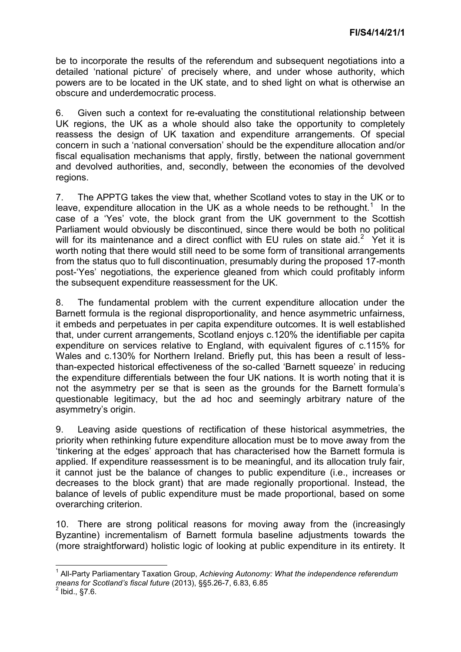be to incorporate the results of the referendum and subsequent negotiations into a detailed 'national picture' of precisely where, and under whose authority, which powers are to be located in the UK state, and to shed light on what is otherwise an obscure and underdemocratic process.

6. Given such a context for re-evaluating the constitutional relationship between UK regions, the UK as a whole should also take the opportunity to completely reassess the design of UK taxation and expenditure arrangements. Of special concern in such a 'national conversation' should be the expenditure allocation and/or fiscal equalisation mechanisms that apply, firstly, between the national government and devolved authorities, and, secondly, between the economies of the devolved regions.

7. The APPTG takes the view that, whether Scotland votes to stay in the UK or to leave, expenditure allocation in the UK as a whole needs to be rethought.<sup>1</sup> In the case of a 'Yes' vote, the block grant from the UK government to the Scottish Parliament would obviously be discontinued, since there would be both no political will for its maintenance and a direct conflict with EU rules on state aid.<sup>2</sup> Yet it is worth noting that there would still need to be some form of transitional arrangements from the status quo to full discontinuation, presumably during the proposed 17-month post-'Yes' negotiations, the experience gleaned from which could profitably inform the subsequent expenditure reassessment for the UK.

8. The fundamental problem with the current expenditure allocation under the Barnett formula is the regional disproportionality, and hence asymmetric unfairness, it embeds and perpetuates in per capita expenditure outcomes. It is well established that, under current arrangements, Scotland enjoys c.120% the identifiable per capita expenditure on services relative to England, with equivalent figures of c.115% for Wales and c.130% for Northern Ireland. Briefly put, this has been a result of lessthan-expected historical effectiveness of the so-called 'Barnett squeeze' in reducing the expenditure differentials between the four UK nations. It is worth noting that it is not the asymmetry per se that is seen as the grounds for the Barnett formula's questionable legitimacy, but the ad hoc and seemingly arbitrary nature of the asymmetry's origin.

9. Leaving aside questions of rectification of these historical asymmetries, the priority when rethinking future expenditure allocation must be to move away from the 'tinkering at the edges' approach that has characterised how the Barnett formula is applied. If expenditure reassessment is to be meaningful, and its allocation truly fair, it cannot just be the balance of changes to public expenditure (i.e., increases or decreases to the block grant) that are made regionally proportional. Instead, the balance of levels of public expenditure must be made proportional, based on some overarching criterion.

10. There are strong political reasons for moving away from the (increasingly Byzantine) incrementalism of Barnett formula baseline adjustments towards the (more straightforward) holistic logic of looking at public expenditure in its entirety. It

 $\overline{a}$ 1 All-Party Parliamentary Taxation Group, *Achieving Autonomy: What the independence referendum means for Scotland's fiscal future* (2013), §§5.26-7, 6.83, 6.85 2

Ibid., §7.6.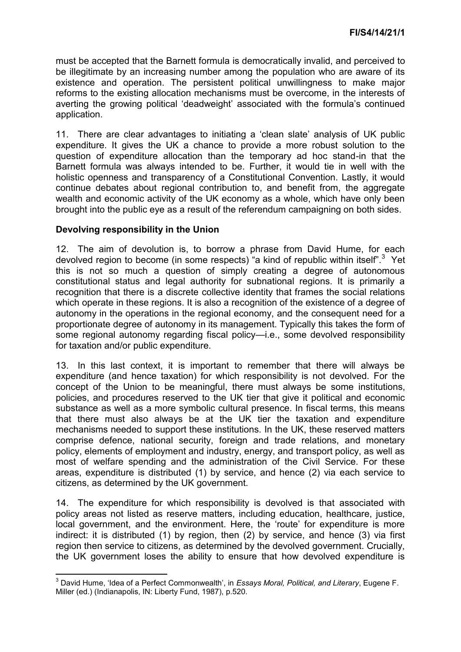must be accepted that the Barnett formula is democratically invalid, and perceived to be illegitimate by an increasing number among the population who are aware of its existence and operation. The persistent political unwillingness to make major reforms to the existing allocation mechanisms must be overcome, in the interests of averting the growing political 'deadweight' associated with the formula's continued application.

11. There are clear advantages to initiating a 'clean slate' analysis of UK public expenditure. It gives the UK a chance to provide a more robust solution to the question of expenditure allocation than the temporary ad hoc stand-in that the Barnett formula was always intended to be. Further, it would tie in well with the holistic openness and transparency of a Constitutional Convention. Lastly, it would continue debates about regional contribution to, and benefit from, the aggregate wealth and economic activity of the UK economy as a whole, which have only been brought into the public eye as a result of the referendum campaigning on both sides.

#### **Devolving responsibility in the Union**

12. The aim of devolution is, to borrow a phrase from David Hume, for each devolved region to become (in some respects) "a kind of republic within itself".<sup>3</sup> Yet this is not so much a question of simply creating a degree of autonomous constitutional status and legal authority for subnational regions. It is primarily a recognition that there is a discrete collective identity that frames the social relations which operate in these regions. It is also a recognition of the existence of a degree of autonomy in the operations in the regional economy, and the consequent need for a proportionate degree of autonomy in its management. Typically this takes the form of some regional autonomy regarding fiscal policy—i.e., some devolved responsibility for taxation and/or public expenditure.

13. In this last context, it is important to remember that there will always be expenditure (and hence taxation) for which responsibility is not devolved. For the concept of the Union to be meaningful, there must always be some institutions, policies, and procedures reserved to the UK tier that give it political and economic substance as well as a more symbolic cultural presence. In fiscal terms, this means that there must also always be at the UK tier the taxation and expenditure mechanisms needed to support these institutions. In the UK, these reserved matters comprise defence, national security, foreign and trade relations, and monetary policy, elements of employment and industry, energy, and transport policy, as well as most of welfare spending and the administration of the Civil Service. For these areas, expenditure is distributed (1) by service, and hence (2) via each service to citizens, as determined by the UK government.

14. The expenditure for which responsibility is devolved is that associated with policy areas not listed as reserve matters, including education, healthcare, justice, local government, and the environment. Here, the 'route' for expenditure is more indirect: it is distributed (1) by region, then (2) by service, and hence (3) via first region then service to citizens, as determined by the devolved government. Crucially, the UK government loses the ability to ensure that how devolved expenditure is

 3 David Hume, 'Idea of a Perfect Commonwealth', in *Essays Moral, Political, and Literary*, Eugene F. Miller (ed.) (Indianapolis, IN: Liberty Fund, 1987), p.520.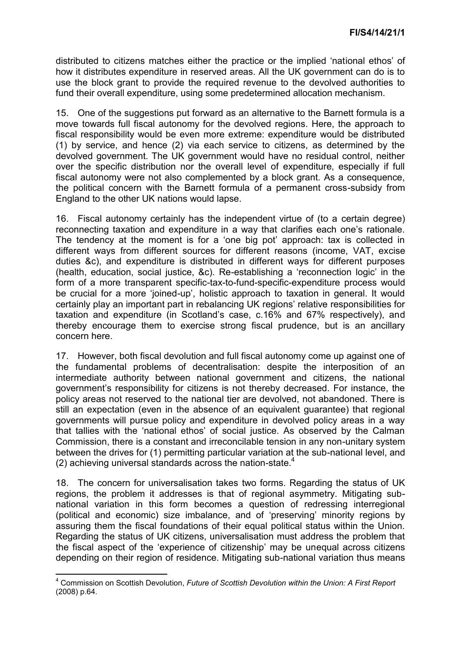distributed to citizens matches either the practice or the implied 'national ethos' of how it distributes expenditure in reserved areas. All the UK government can do is to use the block grant to provide the required revenue to the devolved authorities to fund their overall expenditure, using some predetermined allocation mechanism.

15. One of the suggestions put forward as an alternative to the Barnett formula is a move towards full fiscal autonomy for the devolved regions. Here, the approach to fiscal responsibility would be even more extreme: expenditure would be distributed (1) by service, and hence (2) via each service to citizens, as determined by the devolved government. The UK government would have no residual control, neither over the specific distribution nor the overall level of expenditure, especially if full fiscal autonomy were not also complemented by a block grant. As a consequence, the political concern with the Barnett formula of a permanent cross-subsidy from England to the other UK nations would lapse.

16. Fiscal autonomy certainly has the independent virtue of (to a certain degree) reconnecting taxation and expenditure in a way that clarifies each one's rationale. The tendency at the moment is for a 'one big pot' approach: tax is collected in different ways from different sources for different reasons (income, VAT, excise duties &c), and expenditure is distributed in different ways for different purposes (health, education, social justice, &c). Re-establishing a 'reconnection logic' in the form of a more transparent specific-tax-to-fund-specific-expenditure process would be crucial for a more 'joined-up', holistic approach to taxation in general. It would certainly play an important part in rebalancing UK regions' relative responsibilities for taxation and expenditure (in Scotland's case, c.16% and 67% respectively), and thereby encourage them to exercise strong fiscal prudence, but is an ancillary concern here.

17. However, both fiscal devolution and full fiscal autonomy come up against one of the fundamental problems of decentralisation: despite the interposition of an intermediate authority between national government and citizens, the national government's responsibility for citizens is not thereby decreased. For instance, the policy areas not reserved to the national tier are devolved, not abandoned. There is still an expectation (even in the absence of an equivalent guarantee) that regional governments will pursue policy and expenditure in devolved policy areas in a way that tallies with the 'national ethos' of social justice. As observed by the Calman Commission, there is a constant and irreconcilable tension in any non-unitary system between the drives for (1) permitting particular variation at the sub-national level, and (2) achieving universal standards across the nation-state.<sup>4</sup>

18. The concern for universalisation takes two forms. Regarding the status of UK regions, the problem it addresses is that of regional asymmetry. Mitigating subnational variation in this form becomes a question of redressing interregional (political and economic) size imbalance, and of 'preserving' minority regions by assuring them the fiscal foundations of their equal political status within the Union. Regarding the status of UK citizens, universalisation must address the problem that the fiscal aspect of the 'experience of citizenship' may be unequal across citizens depending on their region of residence. Mitigating sub-national variation thus means

 4 Commission on Scottish Devolution, *Future of Scottish Devolution within the Union: A First Report*  (2008) p.64.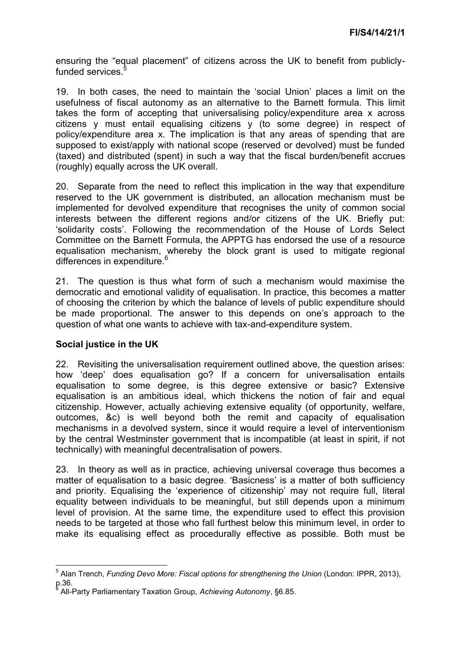ensuring the "equal placement" of citizens across the UK to benefit from publiclyfunded services.<sup>5</sup>

19. In both cases, the need to maintain the 'social Union' places a limit on the usefulness of fiscal autonomy as an alternative to the Barnett formula. This limit takes the form of accepting that universalising policy/expenditure area x across citizens y must entail equalising citizens y (to some degree) in respect of policy/expenditure area x. The implication is that any areas of spending that are supposed to exist/apply with national scope (reserved or devolved) must be funded (taxed) and distributed (spent) in such a way that the fiscal burden/benefit accrues (roughly) equally across the UK overall.

20. Separate from the need to reflect this implication in the way that expenditure reserved to the UK government is distributed, an allocation mechanism must be implemented for devolved expenditure that recognises the unity of common social interests between the different regions and/or citizens of the UK. Briefly put: 'solidarity costs'. Following the recommendation of the House of Lords Select Committee on the Barnett Formula, the APPTG has endorsed the use of a resource equalisation mechanism, whereby the block grant is used to mitigate regional differences in expenditure.<sup>6</sup>

21. The question is thus what form of such a mechanism would maximise the democratic and emotional validity of equalisation. In practice, this becomes a matter of choosing the criterion by which the balance of levels of public expenditure should be made proportional. The answer to this depends on one's approach to the question of what one wants to achieve with tax-and-expenditure system.

## **Social justice in the UK**

22. Revisiting the universalisation requirement outlined above, the question arises: how 'deep' does equalisation go? If a concern for universalisation entails equalisation to some degree, is this degree extensive or basic? Extensive equalisation is an ambitious ideal, which thickens the notion of fair and equal citizenship. However, actually achieving extensive equality (of opportunity, welfare, outcomes, &c) is well beyond both the remit and capacity of equalisation mechanisms in a devolved system, since it would require a level of interventionism by the central Westminster government that is incompatible (at least in spirit, if not technically) with meaningful decentralisation of powers.

23. In theory as well as in practice, achieving universal coverage thus becomes a matter of equalisation to a basic degree. 'Basicness' is a matter of both sufficiency and priority. Equalising the 'experience of citizenship' may not require full, literal equality between individuals to be meaningful, but still depends upon a minimum level of provision. At the same time, the expenditure used to effect this provision needs to be targeted at those who fall furthest below this minimum level, in order to make its equalising effect as procedurally effective as possible. Both must be

 5 Alan Trench, *Funding Devo More: Fiscal options for strengthening the Union* (London: IPPR, 2013), p.36.<br><sup>6</sup> ^</sub>ա

All-Party Parliamentary Taxation Group, *Achieving Autonomy*, §6.85.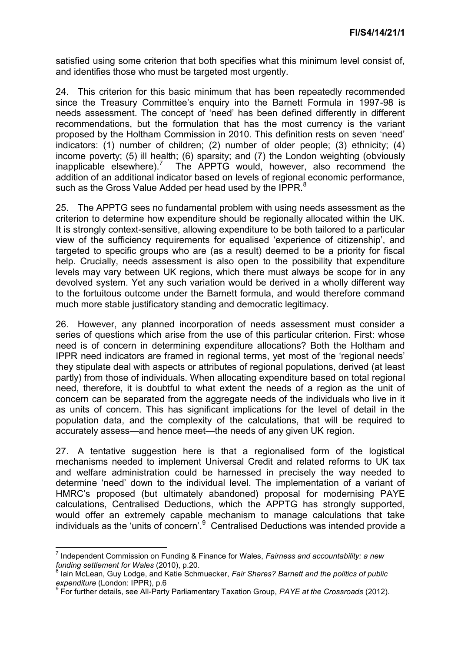satisfied using some criterion that both specifies what this minimum level consist of, and identifies those who must be targeted most urgently.

24. This criterion for this basic minimum that has been repeatedly recommended since the Treasury Committee's enquiry into the Barnett Formula in 1997-98 is needs assessment. The concept of 'need' has been defined differently in different recommendations, but the formulation that has the most currency is the variant proposed by the Holtham Commission in 2010. This definition rests on seven 'need' indicators: (1) number of children; (2) number of older people; (3) ethnicity; (4) income poverty; (5) ill health; (6) sparsity; and (7) the London weighting (obviously inapplicable elsewhere).<sup>7</sup> The APPTG would, however, also recommend the addition of an additional indicator based on levels of regional economic performance, such as the Gross Value Added per head used by the IPPR. $8$ 

25. The APPTG sees no fundamental problem with using needs assessment as the criterion to determine how expenditure should be regionally allocated within the UK. It is strongly context-sensitive, allowing expenditure to be both tailored to a particular view of the sufficiency requirements for equalised 'experience of citizenship', and targeted to specific groups who are (as a result) deemed to be a priority for fiscal help. Crucially, needs assessment is also open to the possibility that expenditure levels may vary between UK regions, which there must always be scope for in any devolved system. Yet any such variation would be derived in a wholly different way to the fortuitous outcome under the Barnett formula, and would therefore command much more stable justificatory standing and democratic legitimacy.

26. However, any planned incorporation of needs assessment must consider a series of questions which arise from the use of this particular criterion. First: whose need is of concern in determining expenditure allocations? Both the Holtham and IPPR need indicators are framed in regional terms, yet most of the 'regional needs' they stipulate deal with aspects or attributes of regional populations, derived (at least partly) from those of individuals. When allocating expenditure based on total regional need, therefore, it is doubtful to what extent the needs of a region as the unit of concern can be separated from the aggregate needs of the individuals who live in it as units of concern. This has significant implications for the level of detail in the population data, and the complexity of the calculations, that will be required to accurately assess—and hence meet—the needs of any given UK region.

27. A tentative suggestion here is that a regionalised form of the logistical mechanisms needed to implement Universal Credit and related reforms to UK tax and welfare administration could be harnessed in precisely the way needed to determine 'need' down to the individual level. The implementation of a variant of HMRC's proposed (but ultimately abandoned) proposal for modernising PAYE calculations, Centralised Deductions, which the APPTG has strongly supported, would offer an extremely capable mechanism to manage calculations that take individuals as the 'units of concern'.<sup>9</sup> Centralised Deductions was intended provide a

**.** 

<sup>7</sup> Independent Commission on Funding & Finance for Wales, *Fairness and accountability: a new funding settlement for Wales* (2010), p.20. 8

Iain McLean, Guy Lodge, and Katie Schmuecker, *Fair Shares? Barnett and the politics of public expenditure* (London: IPPR), p.6 9

For further details, see All-Party Parliamentary Taxation Group, *PAYE at the Crossroads* (2012).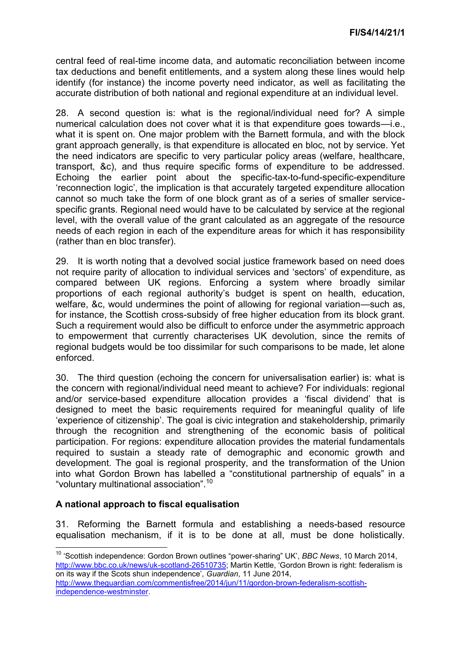central feed of real-time income data, and automatic reconciliation between income tax deductions and benefit entitlements, and a system along these lines would help identify (for instance) the income poverty need indicator, as well as facilitating the accurate distribution of both national and regional expenditure at an individual level.

28. A second question is: what is the regional/individual need for? A simple numerical calculation does not cover what it is that expenditure goes towards—i.e., what it is spent on. One major problem with the Barnett formula, and with the block grant approach generally, is that expenditure is allocated en bloc, not by service. Yet the need indicators are specific to very particular policy areas (welfare, healthcare, transport, &c), and thus require specific forms of expenditure to be addressed. Echoing the earlier point about the specific-tax-to-fund-specific-expenditure 'reconnection logic', the implication is that accurately targeted expenditure allocation cannot so much take the form of one block grant as of a series of smaller servicespecific grants. Regional need would have to be calculated by service at the regional level, with the overall value of the grant calculated as an aggregate of the resource needs of each region in each of the expenditure areas for which it has responsibility (rather than en bloc transfer).

29. It is worth noting that a devolved social justice framework based on need does not require parity of allocation to individual services and 'sectors' of expenditure, as compared between UK regions. Enforcing a system where broadly similar proportions of each regional authority's budget is spent on health, education, welfare, &c, would undermines the point of allowing for regional variation—such as, for instance, the Scottish cross-subsidy of free higher education from its block grant. Such a requirement would also be difficult to enforce under the asymmetric approach to empowerment that currently characterises UK devolution, since the remits of regional budgets would be too dissimilar for such comparisons to be made, let alone enforced.

30. The third question (echoing the concern for universalisation earlier) is: what is the concern with regional/individual need meant to achieve? For individuals: regional and/or service-based expenditure allocation provides a 'fiscal dividend' that is designed to meet the basic requirements required for meaningful quality of life 'experience of citizenship'. The goal is civic integration and stakeholdership, primarily through the recognition and strengthening of the economic basis of political participation. For regions: expenditure allocation provides the material fundamentals required to sustain a steady rate of demographic and economic growth and development. The goal is regional prosperity, and the transformation of the Union into what Gordon Brown has labelled a "constitutional partnership of equals" in a "voluntary multinational association".<sup>10</sup>

## **A national approach to fiscal equalisation**

**.** 

31. Reforming the Barnett formula and establishing a needs-based resource equalisation mechanism, if it is to be done at all, must be done holistically.

<sup>10</sup> 'Scottish independence: Gordon Brown outlines "power-sharing" UK', *BBC News*, 10 March 2014, [http://www.bbc.co.uk/news/uk-scotland-26510735;](http://www.bbc.co.uk/news/uk-scotland-26510735) Martin Kettle, 'Gordon Brown is right: federalism is on its way if the Scots shun independence', *Guardian*, 11 June 2014, [http://www.theguardian.com/commentisfree/2014/jun/11/gordon-brown-federalism-scottish-](http://www.theguardian.com/commentisfree/2014/jun/11/gordon-brown-federalism-scottish-independence-westminster)

[independence-westminster.](http://www.theguardian.com/commentisfree/2014/jun/11/gordon-brown-federalism-scottish-independence-westminster)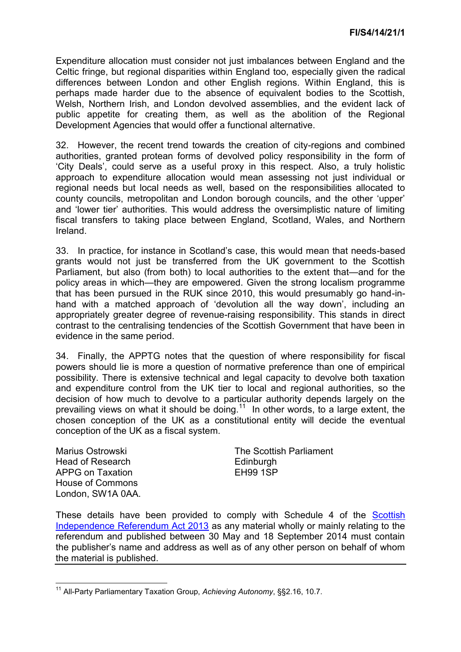Expenditure allocation must consider not just imbalances between England and the Celtic fringe, but regional disparities within England too, especially given the radical differences between London and other English regions. Within England, this is perhaps made harder due to the absence of equivalent bodies to the Scottish, Welsh, Northern Irish, and London devolved assemblies, and the evident lack of public appetite for creating them, as well as the abolition of the Regional Development Agencies that would offer a functional alternative.

32. However, the recent trend towards the creation of city-regions and combined authorities, granted protean forms of devolved policy responsibility in the form of 'City Deals', could serve as a useful proxy in this respect. Also, a truly holistic approach to expenditure allocation would mean assessing not just individual or regional needs but local needs as well, based on the responsibilities allocated to county councils, metropolitan and London borough councils, and the other 'upper' and 'lower tier' authorities. This would address the oversimplistic nature of limiting fiscal transfers to taking place between England, Scotland, Wales, and Northern Ireland.

33. In practice, for instance in Scotland's case, this would mean that needs-based grants would not just be transferred from the UK government to the Scottish Parliament, but also (from both) to local authorities to the extent that—and for the policy areas in which—they are empowered. Given the strong localism programme that has been pursued in the RUK since 2010, this would presumably go hand-inhand with a matched approach of 'devolution all the way down', including an appropriately greater degree of revenue-raising responsibility. This stands in direct contrast to the centralising tendencies of the Scottish Government that have been in evidence in the same period.

34. Finally, the APPTG notes that the question of where responsibility for fiscal powers should lie is more a question of normative preference than one of empirical possibility. There is extensive technical and legal capacity to devolve both taxation and expenditure control from the UK tier to local and regional authorities, so the decision of how much to devolve to a particular authority depends largely on the prevailing views on what it should be doing.<sup>11</sup> In other words, to a large extent, the chosen conception of the UK as a constitutional entity will decide the eventual conception of the UK as a fiscal system.

Marius Ostrowski Head of Research APPG on Taxation House of Commons London, SW1A 0AA. The Scottish Parliament **Edinburgh** EH99 1SP

These details have been provided to comply with Schedule 4 of the [Scottish](http://www.legislation.gov.uk/asp/2013/14/enacted)  [Independence Referendum Act 2013](http://www.legislation.gov.uk/asp/2013/14/enacted) as any material wholly or mainly relating to the referendum and published between 30 May and 18 September 2014 must contain the publisher's name and address as well as of any other person on behalf of whom the material is published.

 $\overline{\phantom{a}}$ <sup>11</sup> All-Party Parliamentary Taxation Group, *Achieving Autonomy*, §§2.16, 10.7.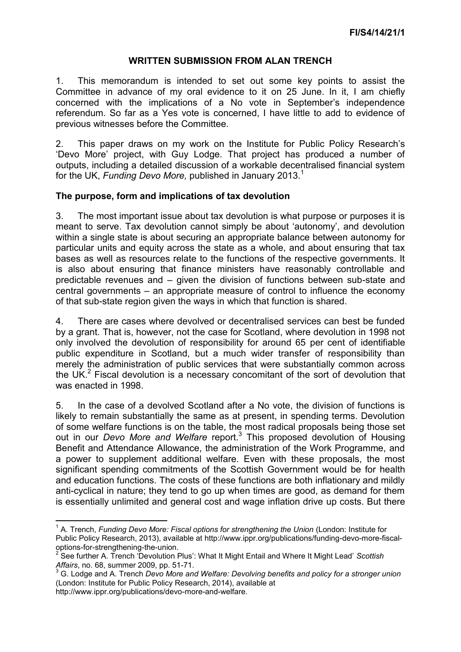### **WRITTEN SUBMISSION FROM ALAN TRENCH**

1. This memorandum is intended to set out some key points to assist the Committee in advance of my oral evidence to it on 25 June. In it, I am chiefly concerned with the implications of a No vote in September's independence referendum. So far as a Yes vote is concerned, I have little to add to evidence of previous witnesses before the Committee.

2. This paper draws on my work on the Institute for Public Policy Research's 'Devo More' project, with Guy Lodge. That project has produced a number of outputs, including a detailed discussion of a workable decentralised financial system for the UK, *Funding Devo More,* published in January 2013.<sup>1</sup>

#### **The purpose, form and implications of tax devolution**

3. The most important issue about tax devolution is what purpose or purposes it is meant to serve. Tax devolution cannot simply be about 'autonomy', and devolution within a single state is about securing an appropriate balance between autonomy for particular units and equity across the state as a whole, and about ensuring that tax bases as well as resources relate to the functions of the respective governments. It is also about ensuring that finance ministers have reasonably controllable and predictable revenues and – given the division of functions between sub-state and central governments – an appropriate measure of control to influence the economy of that sub-state region given the ways in which that function is shared.

4. There are cases where devolved or decentralised services can best be funded by a grant. That is, however, not the case for Scotland, where devolution in 1998 not only involved the devolution of responsibility for around 65 per cent of identifiable public expenditure in Scotland, but a much wider transfer of responsibility than merely the administration of public services that were substantially common across the UK. $2$  Fiscal devolution is a necessary concomitant of the sort of devolution that was enacted in 1998.

5. In the case of a devolved Scotland after a No vote, the division of functions is likely to remain substantially the same as at present, in spending terms. Devolution of some welfare functions is on the table, the most radical proposals being those set out in our *Devo More and Welfare* report.<sup>3</sup> This proposed devolution of Housing Benefit and Attendance Allowance, the administration of the Work Programme, and a power to supplement additional welfare. Even with these proposals, the most significant spending commitments of the Scottish Government would be for health and education functions. The costs of these functions are both inflationary and mildly anti-cyclical in nature; they tend to go up when times are good, as demand for them is essentially unlimited and general cost and wage inflation drive up costs. But there

**<sup>.</sup>** <sup>1</sup> A. Trench, *Funding Devo More: Fiscal options for strengthening the Union (London: Institute for* Public Policy Research, 2013), available at http://www.ippr.org/publications/funding-devo-more-fiscaloptions-for-strengthening-the-union.

<sup>2</sup> See further A. Trench 'Devolution Plus': What It Might Entail and Where It Might Lead' *Scottish Affairs*, no. 68, summer 2009, pp. 51-71. 3

G. Lodge and A. Trench *Devo More and Welfare: Devolving benefits and policy for a stronger union*  (London: Institute for Public Policy Research, 2014), available at http://www.ippr.org/publications/devo-more-and-welfare.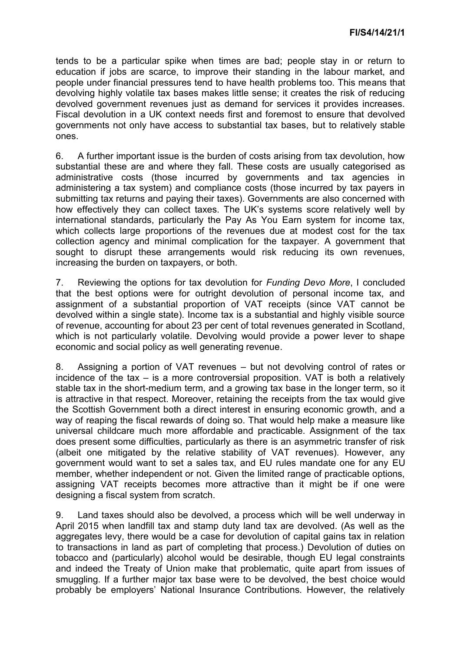tends to be a particular spike when times are bad; people stay in or return to education if jobs are scarce, to improve their standing in the labour market, and people under financial pressures tend to have health problems too. This means that devolving highly volatile tax bases makes little sense; it creates the risk of reducing devolved government revenues just as demand for services it provides increases. Fiscal devolution in a UK context needs first and foremost to ensure that devolved governments not only have access to substantial tax bases, but to relatively stable ones.

6. A further important issue is the burden of costs arising from tax devolution, how substantial these are and where they fall. These costs are usually categorised as administrative costs (those incurred by governments and tax agencies in administering a tax system) and compliance costs (those incurred by tax payers in submitting tax returns and paying their taxes). Governments are also concerned with how effectively they can collect taxes. The UK's systems score relatively well by international standards, particularly the Pay As You Earn system for income tax, which collects large proportions of the revenues due at modest cost for the tax collection agency and minimal complication for the taxpayer. A government that sought to disrupt these arrangements would risk reducing its own revenues, increasing the burden on taxpayers, or both.

7. Reviewing the options for tax devolution for *Funding Devo More*, I concluded that the best options were for outright devolution of personal income tax, and assignment of a substantial proportion of VAT receipts (since VAT cannot be devolved within a single state). Income tax is a substantial and highly visible source of revenue, accounting for about 23 per cent of total revenues generated in Scotland, which is not particularly volatile. Devolving would provide a power lever to shape economic and social policy as well generating revenue.

8. Assigning a portion of VAT revenues – but not devolving control of rates or incidence of the tax – is a more controversial proposition. VAT is both a relatively stable tax in the short-medium term, and a growing tax base in the longer term, so it is attractive in that respect. Moreover, retaining the receipts from the tax would give the Scottish Government both a direct interest in ensuring economic growth, and a way of reaping the fiscal rewards of doing so. That would help make a measure like universal childcare much more affordable and practicable. Assignment of the tax does present some difficulties, particularly as there is an asymmetric transfer of risk (albeit one mitigated by the relative stability of VAT revenues). However, any government would want to set a sales tax, and EU rules mandate one for any EU member, whether independent or not. Given the limited range of practicable options, assigning VAT receipts becomes more attractive than it might be if one were designing a fiscal system from scratch.

9. Land taxes should also be devolved, a process which will be well underway in April 2015 when landfill tax and stamp duty land tax are devolved. (As well as the aggregates levy, there would be a case for devolution of capital gains tax in relation to transactions in land as part of completing that process.) Devolution of duties on tobacco and (particularly) alcohol would be desirable, though EU legal constraints and indeed the Treaty of Union make that problematic, quite apart from issues of smuggling. If a further major tax base were to be devolved, the best choice would probably be employers' National Insurance Contributions. However, the relatively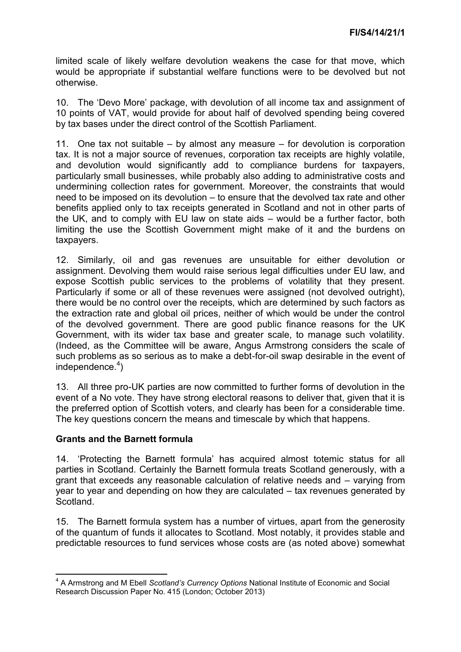limited scale of likely welfare devolution weakens the case for that move, which would be appropriate if substantial welfare functions were to be devolved but not otherwise.

10. The 'Devo More' package, with devolution of all income tax and assignment of 10 points of VAT, would provide for about half of devolved spending being covered by tax bases under the direct control of the Scottish Parliament.

11. One tax not suitable – by almost any measure – for devolution is corporation tax. It is not a major source of revenues, corporation tax receipts are highly volatile, and devolution would significantly add to compliance burdens for taxpayers, particularly small businesses, while probably also adding to administrative costs and undermining collection rates for government. Moreover, the constraints that would need to be imposed on its devolution – to ensure that the devolved tax rate and other benefits applied only to tax receipts generated in Scotland and not in other parts of the UK, and to comply with EU law on state aids – would be a further factor, both limiting the use the Scottish Government might make of it and the burdens on taxpayers.

12. Similarly, oil and gas revenues are unsuitable for either devolution or assignment. Devolving them would raise serious legal difficulties under EU law, and expose Scottish public services to the problems of volatility that they present. Particularly if some or all of these revenues were assigned (not devolved outright), there would be no control over the receipts, which are determined by such factors as the extraction rate and global oil prices, neither of which would be under the control of the devolved government. There are good public finance reasons for the UK Government, with its wider tax base and greater scale, to manage such volatility. (Indeed, as the Committee will be aware, Angus Armstrong considers the scale of such problems as so serious as to make a debt-for-oil swap desirable in the event of independence.<sup>4</sup>)

13. All three pro-UK parties are now committed to further forms of devolution in the event of a No vote. They have strong electoral reasons to deliver that, given that it is the preferred option of Scottish voters, and clearly has been for a considerable time. The key questions concern the means and timescale by which that happens.

## **Grants and the Barnett formula**

14. 'Protecting the Barnett formula' has acquired almost totemic status for all parties in Scotland. Certainly the Barnett formula treats Scotland generously, with a grant that exceeds any reasonable calculation of relative needs and – varying from year to year and depending on how they are calculated – tax revenues generated by Scotland.

15. The Barnett formula system has a number of virtues, apart from the generosity of the quantum of funds it allocates to Scotland. Most notably, it provides stable and predictable resources to fund services whose costs are (as noted above) somewhat

 4 A Armstrong and M Ebell *Scotland's Currency Options* National Institute of Economic and Social Research Discussion Paper No. 415 (London; October 2013)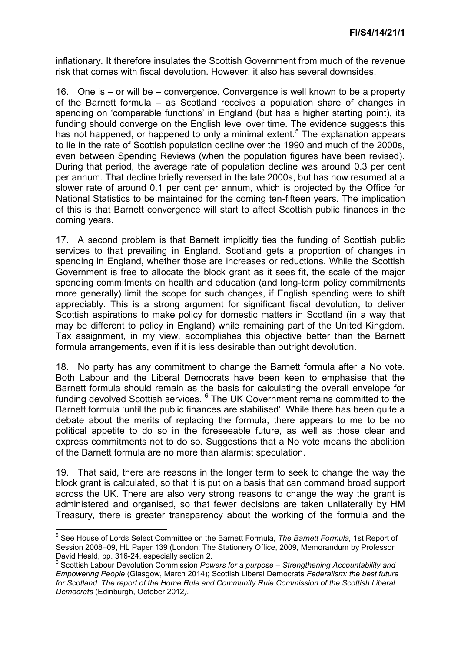inflationary. It therefore insulates the Scottish Government from much of the revenue risk that comes with fiscal devolution. However, it also has several downsides.

16. One is – or will be – convergence. Convergence is well known to be a property of the Barnett formula – as Scotland receives a population share of changes in spending on 'comparable functions' in England (but has a higher starting point), its funding should converge on the English level over time. The evidence suggests this has not happened, or happened to only a minimal extent.<sup>5</sup> The explanation appears to lie in the rate of Scottish population decline over the 1990 and much of the 2000s, even between Spending Reviews (when the population figures have been revised). During that period, the average rate of population decline was around 0.3 per cent per annum. That decline briefly reversed in the late 2000s, but has now resumed at a slower rate of around 0.1 per cent per annum, which is projected by the Office for National Statistics to be maintained for the coming ten-fifteen years. The implication of this is that Barnett convergence will start to affect Scottish public finances in the coming years.

17. A second problem is that Barnett implicitly ties the funding of Scottish public services to that prevailing in England. Scotland gets a proportion of changes in spending in England, whether those are increases or reductions. While the Scottish Government is free to allocate the block grant as it sees fit, the scale of the major spending commitments on health and education (and long-term policy commitments more generally) limit the scope for such changes, if English spending were to shift appreciably. This is a strong argument for significant fiscal devolution, to deliver Scottish aspirations to make policy for domestic matters in Scotland (in a way that may be different to policy in England) while remaining part of the United Kingdom. Tax assignment, in my view, accomplishes this objective better than the Barnett formula arrangements, even if it is less desirable than outright devolution.

18. No party has any commitment to change the Barnett formula after a No vote. Both Labour and the Liberal Democrats have been keen to emphasise that the Barnett formula should remain as the basis for calculating the overall envelope for funding devolved Scottish services. <sup>6</sup> The UK Government remains committed to the Barnett formula 'until the public finances are stabilised'. While there has been quite a debate about the merits of replacing the formula, there appears to me to be no political appetite to do so in the foreseeable future, as well as those clear and express commitments not to do so. Suggestions that a No vote means the abolition of the Barnett formula are no more than alarmist speculation.

19. That said, there are reasons in the longer term to seek to change the way the block grant is calculated, so that it is put on a basis that can command broad support across the UK. There are also very strong reasons to change the way the grant is administered and organised, so that fewer decisions are taken unilaterally by HM Treasury, there is greater transparency about the working of the formula and the

 $\overline{\phantom{a}}$ 

<sup>5</sup> See House of Lords Select Committee on the Barnett Formula, *The Barnett Formula,* 1st Report of Session 2008–09, HL Paper 139 (London: The Stationery Office, 2009, Memorandum by Professor David Heald, pp. 316-24, especially section 2.

<sup>6</sup> Scottish Labour Devolution Commission *Powers for a purpose – Strengthening Accountability and Empowering People* (Glasgow, March 2014); Scottish Liberal Democrats *Federalism: the best future for Scotland. The report of the Home Rule and Community Rule Commission of the Scottish Liberal Democrats* (Edinburgh, October 2012*).*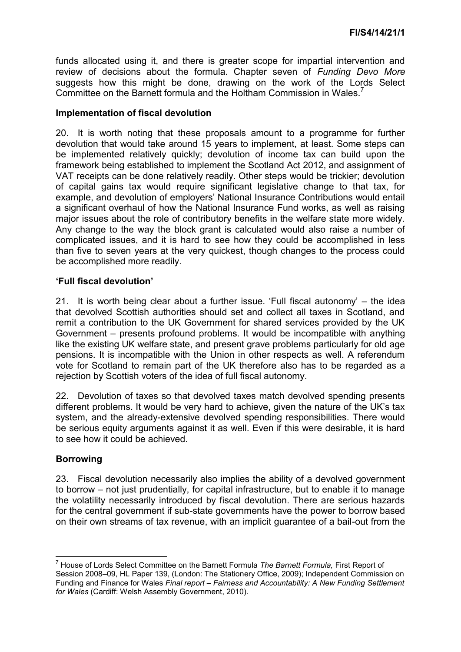funds allocated using it, and there is greater scope for impartial intervention and review of decisions about the formula. Chapter seven of *Funding Devo More*  suggests how this might be done, drawing on the work of the Lords Select Committee on the Barnett formula and the Holtham Commission in Wales.<sup>7</sup>

#### **Implementation of fiscal devolution**

20. It is worth noting that these proposals amount to a programme for further devolution that would take around 15 years to implement, at least. Some steps can be implemented relatively quickly; devolution of income tax can build upon the framework being established to implement the Scotland Act 2012, and assignment of VAT receipts can be done relatively readily. Other steps would be trickier; devolution of capital gains tax would require significant legislative change to that tax, for example, and devolution of employers' National Insurance Contributions would entail a significant overhaul of how the National Insurance Fund works, as well as raising major issues about the role of contributory benefits in the welfare state more widely. Any change to the way the block grant is calculated would also raise a number of complicated issues, and it is hard to see how they could be accomplished in less than five to seven years at the very quickest, though changes to the process could be accomplished more readily.

#### **'Full fiscal devolution'**

21. It is worth being clear about a further issue. 'Full fiscal autonomy' – the idea that devolved Scottish authorities should set and collect all taxes in Scotland, and remit a contribution to the UK Government for shared services provided by the UK Government – presents profound problems. It would be incompatible with anything like the existing UK welfare state, and present grave problems particularly for old age pensions. It is incompatible with the Union in other respects as well. A referendum vote for Scotland to remain part of the UK therefore also has to be regarded as a rejection by Scottish voters of the idea of full fiscal autonomy.

22. Devolution of taxes so that devolved taxes match devolved spending presents different problems. It would be very hard to achieve, given the nature of the UK's tax system, and the already-extensive devolved spending responsibilities. There would be serious equity arguments against it as well. Even if this were desirable, it is hard to see how it could be achieved.

## **Borrowing**

23. Fiscal devolution necessarily also implies the ability of a devolved government to borrow – not just prudentially, for capital infrastructure, but to enable it to manage the volatility necessarily introduced by fiscal devolution. There are serious hazards for the central government if sub-state governments have the power to borrow based on their own streams of tax revenue, with an implicit guarantee of a bail-out from the

 $\overline{\phantom{a}}$ 7 House of Lords Select Committee on the Barnett Formula *The Barnett Formula,* First Report of Session 2008–09, HL Paper 139, (London: The Stationery Office, 2009); Independent Commission on Funding and Finance for Wales *Final report – Fairness and Accountability: A New Funding Settlement for Wales* (Cardiff: Welsh Assembly Government, 2010).